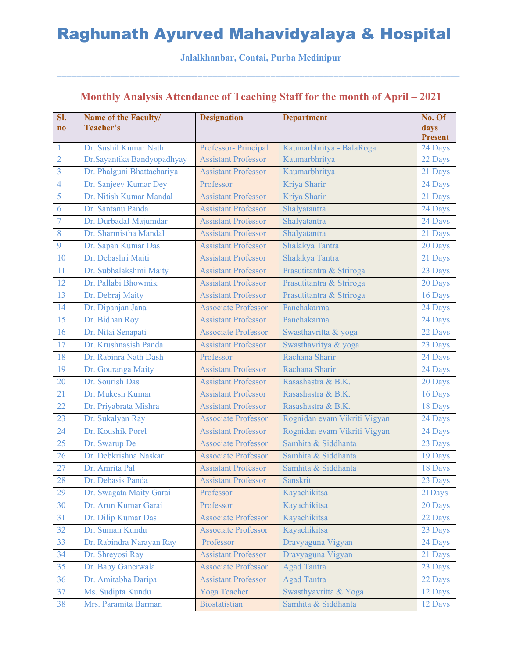#### **Jalalkhanbar, Contai, Purba Medinipur**

===================================================================================

### **Monthly Analysis Attendance of Teaching Staff for the month of April – 2021**

| SI.<br>$\mathbf{n}\mathbf{o}$ | <b>Name of the Faculty/</b><br>Teacher's | <b>Designation</b>         | <b>Department</b>            | No. Of<br>days<br><b>Present</b> |
|-------------------------------|------------------------------------------|----------------------------|------------------------------|----------------------------------|
|                               | Dr. Sushil Kumar Nath                    | Professor- Principal       | Kaumarbhritya - BalaRoga     | 24 Days                          |
| $\overline{2}$                | Dr.Sayantika Bandyopadhyay               | <b>Assistant Professor</b> | Kaumarbhritya                | 22 Days                          |
| $\overline{3}$                | Dr. Phalguni Bhattachariya               | <b>Assistant Professor</b> | Kaumarbhritya                | 21 Days                          |
| $\overline{4}$                | Dr. Sanjeev Kumar Dey                    | Professor                  | Kriya Sharir                 | 24 Days                          |
| 5                             | Dr. Nitish Kumar Mandal                  | <b>Assistant Professor</b> | Kriya Sharir                 | 21 Days                          |
| 6                             | Dr. Santanu Panda                        | <b>Assistant Professor</b> | Shalyatantra                 | 24 Days                          |
| 7                             | Dr. Durbadal Majumdar                    | <b>Assistant Professor</b> | Shalyatantra                 | 24 Days                          |
| 8                             | Dr. Sharmistha Mandal                    | <b>Assistant Professor</b> | Shalyatantra                 | 21 Days                          |
| 9                             | Dr. Sapan Kumar Das                      | <b>Assistant Professor</b> | Shalakya Tantra              | 20 Days                          |
| 10                            | Dr. Debashri Maiti                       | <b>Assistant Professor</b> | Shalakya Tantra              | 21 Days                          |
| 11                            | Dr. Subhalakshmi Maity                   | <b>Assistant Professor</b> | Prasutitantra & Striroga     | 23 Days                          |
| 12                            | Dr. Pallabi Bhowmik                      | <b>Assistant Professor</b> | Prasutitantra & Striroga     | 20 Days                          |
| 13                            | Dr. Debraj Maity                         | <b>Assistant Professor</b> | Prasutitantra & Striroga     | 16 Days                          |
| 14                            | Dr. Dipanjan Jana                        | <b>Associate Professor</b> | Panchakarma                  | 24 Days                          |
| 15                            | Dr. Bidhan Roy                           | <b>Assistant Professor</b> | Panchakarma                  | 24 Days                          |
| 16                            | Dr. Nitai Senapati                       | <b>Associate Professor</b> | Swasthavritta & yoga         | 22 Days                          |
| 17                            | Dr. Krushnasish Panda                    | <b>Assistant Professor</b> | Swasthavritya & yoga         | 23 Days                          |
| 18                            | Dr. Rabinra Nath Dash                    | Professor                  | Rachana Sharir               | 24 Days                          |
| 19                            | Dr. Gouranga Maity                       | <b>Assistant Professor</b> | Rachana Sharir               | 24 Days                          |
| 20                            | Dr. Sourish Das                          | <b>Assistant Professor</b> | Rasashastra & B.K.           | 20 Days                          |
| 21                            | Dr. Mukesh Kumar                         | <b>Assistant Professor</b> | Rasashastra & B.K.           | 16 Days                          |
| 22                            | Dr. Priyabrata Mishra                    | <b>Assistant Professor</b> | Rasashastra & B.K.           | 18 Days                          |
| 23                            | Dr. Sukalyan Ray                         | <b>Associate Professor</b> | Rognidan evam Vikriti Vigyan | 24 Days                          |
| 24                            | Dr. Koushik Porel                        | <b>Assistant Professor</b> | Rognidan evam Vikriti Vigyan | 24 Days                          |
| 25                            | Dr. Swarup De                            | <b>Associate Professor</b> | Samhita & Siddhanta          | 23 Days                          |
| 26                            | Dr. Debkrishna Naskar                    | <b>Associate Professor</b> | Samhita & Siddhanta          | 19 Days                          |
| 27                            | Dr. Amrita Pal                           | <b>Assistant Professor</b> | Samhita & Siddhanta          | 18 Days                          |
| 28                            | Dr. Debasis Panda                        | <b>Assistant Professor</b> | Sanskrit                     | 23 Days                          |
| 29                            | Dr. Swagata Maity Garai                  | Professor                  | Kayachikitsa                 | 21Days                           |
| 30                            | Dr. Arun Kumar Garai                     | Professor                  | Kayachikitsa                 | 20 Days                          |
| 31                            | Dr. Dilip Kumar Das                      | <b>Associate Professor</b> | Kayachikitsa                 | 22 Days                          |
| 32                            | Dr. Suman Kundu                          | <b>Associate Professor</b> | Kayachikitsa                 | 23 Days                          |
| 33                            | Dr. Rabindra Narayan Ray                 | Professor                  | Dravyaguna Vigyan            | 24 Days                          |
| 34                            | Dr. Shreyosi Ray                         | <b>Assistant Professor</b> | Dravyaguna Vigyan            | 21 Days                          |
| 35                            | Dr. Baby Ganerwala                       | <b>Associate Professor</b> | <b>Agad Tantra</b>           | 23 Days                          |
| 36                            | Dr. Amitabha Daripa                      | <b>Assistant Professor</b> | <b>Agad Tantra</b>           | 22 Days                          |
| 37                            | Ms. Sudipta Kundu                        | Yoga Teacher               | Swasthyavritta & Yoga        | 12 Days                          |
| 38                            | Mrs. Paramita Barman                     | <b>Biostatistian</b>       | Samhita & Siddhanta          | 12 Days                          |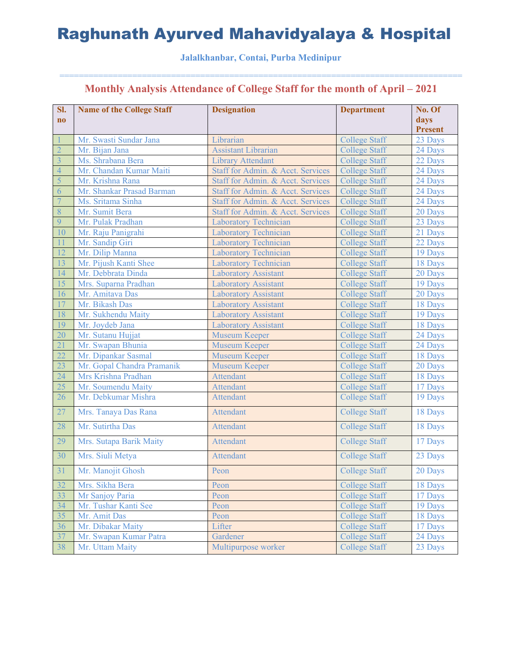#### **Jalalkhanbar, Contai, Purba Medinipur**

| SI.                     | <b>Name of the College Staff</b> | <b>Designation</b>                | <b>Department</b>    | No. Of         |
|-------------------------|----------------------------------|-----------------------------------|----------------------|----------------|
| $\mathbf{n}\mathbf{o}$  |                                  |                                   |                      | days           |
|                         |                                  |                                   |                      | <b>Present</b> |
|                         | Mr. Swasti Sundar Jana           | Librarian                         | <b>College Staff</b> | 23 Days        |
| $\overline{2}$          | Mr. Bijan Jana                   | <b>Assistant Librarian</b>        | <b>College Staff</b> | 24 Days        |
| $\overline{\mathbf{3}}$ | Ms. Shrabana Bera                | <b>Library Attendant</b>          | <b>College Staff</b> | 22 Days        |
| $\overline{4}$          | Mr. Chandan Kumar Maiti          | Staff for Admin. & Acct. Services | <b>College Staff</b> | 24 Days        |
| 5                       | Mr. Krishna Rana                 | Staff for Admin. & Acct. Services | <b>College Staff</b> | 24 Days        |
| 6                       | Mr. Shankar Prasad Barman        | Staff for Admin. & Acct. Services | <b>College Staff</b> | 24 Days        |
| $\overline{7}$          | Ms. Sritama Sinha                | Staff for Admin. & Acct. Services | <b>College Staff</b> | 24 Days        |
| 8                       | Mr. Sumit Bera                   | Staff for Admin. & Acct. Services | <b>College Staff</b> | 20 Days        |
| 9                       | Mr. Pulak Pradhan                | <b>Laboratory Technician</b>      | <b>College Staff</b> | 23 Days        |
| 10                      | Mr. Raju Panigrahi               | <b>Laboratory Technician</b>      | <b>College Staff</b> | 21 Days        |
| 11                      | Mr. Sandip Giri                  | <b>Laboratory Technician</b>      | <b>College Staff</b> | 22 Days        |
| 12                      | Mr. Dilip Manna                  | <b>Laboratory Technician</b>      | <b>College Staff</b> | 19 Days        |
| 13                      | Mr. Pijush Kanti Shee            | Laboratory Technician             | <b>College Staff</b> | 18 Days        |
| 14                      | Mr. Debbrata Dinda               | <b>Laboratory Assistant</b>       | <b>College Staff</b> | 20 Days        |
| $\overline{15}$         | Mrs. Suparna Pradhan             | <b>Laboratory Assistant</b>       | <b>College Staff</b> | 19 Days        |
| 16                      | Mr. Amitava Das                  | <b>Laboratory Assistant</b>       | <b>College Staff</b> | 20 Days        |
| 17                      | Mr. Bikash Das                   | <b>Laboratory Assistant</b>       | <b>College Staff</b> | 18 Days        |
| 18                      | Mr. Sukhendu Maity               | <b>Laboratory Assistant</b>       | <b>College Staff</b> | 19 Days        |
| 19                      | Mr. Joydeb Jana                  | <b>Laboratory Assistant</b>       | <b>College Staff</b> | 18 Days        |
| 20                      | Mr. Sutanu Hujjat                | <b>Museum Keeper</b>              | <b>College Staff</b> | 24 Days        |
| 21                      | Mr. Swapan Bhunia                | <b>Museum Keeper</b>              | <b>College Staff</b> | 24 Days        |
| 22                      | Mr. Dipankar Sasmal              | <b>Museum Keeper</b>              | <b>College Staff</b> | 18 Days        |
| 23                      | Mr. Gopal Chandra Pramanik       | <b>Museum Keeper</b>              | <b>College Staff</b> | 20 Days        |
| 24                      | Mrs Krishna Pradhan              | <b>Attendant</b>                  | <b>College Staff</b> | 18 Days        |
| 25                      | Mr. Soumendu Maity               | <b>Attendant</b>                  | <b>College Staff</b> | 17 Days        |
| 26                      | Mr. Debkumar Mishra              | Attendant                         | <b>College Staff</b> | 19 Days        |
| 27                      | Mrs. Tanaya Das Rana             | Attendant                         | <b>College Staff</b> | 18 Days        |
| 28                      | Mr. Sutirtha Das                 | Attendant                         | <b>College Staff</b> | 18 Days        |
| 29                      | Mrs. Sutapa Barik Maity          | Attendant                         | <b>College Staff</b> | 17 Days        |
| 30                      | Mrs. Siuli Metya                 | Attendant                         | <b>College Staff</b> | 23 Days        |
| 31                      | Mr. Manojit Ghosh                | Peon                              | <b>College Staff</b> | 20 Days        |
| 32                      | Mrs. Sikha Bera                  | Peon                              | <b>College Staff</b> | 18 Days        |
| 33                      | Mr Sanjoy Paria                  | Peon                              | <b>College Staff</b> | 17 Days        |
| 34                      | Mr. Tushar Kanti See             | Peon                              | <b>College Staff</b> | 19 Days        |
| 35                      | Mr. Amit Das                     | Peon                              | <b>College Staff</b> | 18 Days        |
| 36                      | Mr. Dibakar Maity                | Lifter                            | <b>College Staff</b> | 17 Days        |
| 37                      | Mr. Swapan Kumar Patra           | Gardener                          | <b>College Staff</b> | 24 Days        |
| 38                      | Mr. Uttam Maity                  | Multipurpose worker               | <b>College Staff</b> | 23 Days        |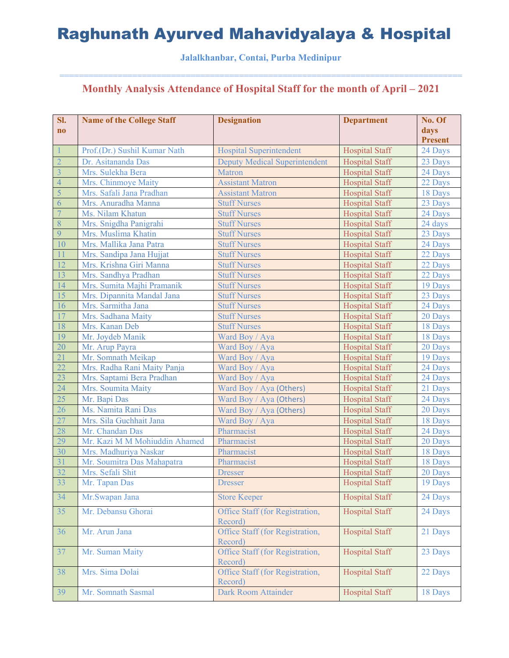**Jalalkhanbar, Contai, Purba Medinipur** 

| SI.                    | <b>Name of the College Staff</b> | <b>Designation</b>                         | <b>Department</b>     | No. Of         |
|------------------------|----------------------------------|--------------------------------------------|-----------------------|----------------|
| $\mathbf{n}\mathbf{o}$ |                                  |                                            |                       | days           |
|                        |                                  |                                            |                       | <b>Present</b> |
|                        | Prof.(Dr.) Sushil Kumar Nath     | <b>Hospital Superintendent</b>             | <b>Hospital Staff</b> | 24 Days        |
| $\overline{2}$         | Dr. Asitananda Das               | <b>Deputy Medical Superintendent</b>       | <b>Hospital Staff</b> | 23 Days        |
| $\overline{3}$         | Mrs. Sulekha Bera                | <b>Matron</b>                              | <b>Hospital Staff</b> | 24 Days        |
| $\overline{4}$         | Mrs. Chinmoye Maity              | <b>Assistant Matron</b>                    | <b>Hospital Staff</b> | 22 Days        |
| 5                      | Mrs. Safali Jana Pradhan         | <b>Assistant Matron</b>                    | <b>Hospital Staff</b> | 18 Days        |
| 6                      | Mrs. Anuradha Manna              | <b>Stuff Nurses</b>                        | <b>Hospital Staff</b> | 23 Days        |
| $\overline{7}$         | Ms. Nilam Khatun                 | <b>Stuff Nurses</b>                        | <b>Hospital Staff</b> | 24 Days        |
| 8                      | Mrs. Snigdha Panigrahi           | <b>Stuff Nurses</b>                        | <b>Hospital Staff</b> | 24 days        |
| 9                      | Mrs. Muslima Khatin              | <b>Stuff Nurses</b>                        | <b>Hospital Staff</b> | 23 Days        |
| 10                     | Mrs. Mallika Jana Patra          | <b>Stuff Nurses</b>                        | <b>Hospital Staff</b> | 24 Days        |
| 11                     | Mrs. Sandipa Jana Hujjat         | <b>Stuff Nurses</b>                        | <b>Hospital Staff</b> | 22 Days        |
| 12                     | Mrs. Krishna Giri Manna          | <b>Stuff Nurses</b>                        | <b>Hospital Staff</b> | 22 Days        |
| 13                     | Mrs. Sandhya Pradhan             | <b>Stuff Nurses</b>                        | <b>Hospital Staff</b> | 22 Days        |
| 14                     | Mrs. Sumita Majhi Pramanik       | <b>Stuff Nurses</b>                        | <b>Hospital Staff</b> | 19 Days        |
| 15                     | Mrs. Dipannita Mandal Jana       | <b>Stuff Nurses</b>                        | <b>Hospital Staff</b> | 23 Days        |
| 16                     | Mrs. Sarmitha Jana               | <b>Stuff Nurses</b>                        | <b>Hospital Staff</b> | 24 Days        |
| 17                     | Mrs. Sadhana Maity               | <b>Stuff Nurses</b>                        | <b>Hospital Staff</b> | 20 Days        |
| 18                     | Mrs. Kanan Deb                   | <b>Stuff Nurses</b>                        | <b>Hospital Staff</b> | 18 Days        |
| 19                     | Mr. Joydeb Manik                 | Ward Boy / Aya                             | <b>Hospital Staff</b> | 18 Days        |
| 20                     | Mr. Arup Payra                   | Ward Boy / Aya                             | <b>Hospital Staff</b> | 20 Days        |
| 21                     | Mr. Somnath Meikap               | Ward Boy / Aya                             | <b>Hospital Staff</b> | 19 Days        |
| $\overline{22}$        | Mrs. Radha Rani Maity Panja      | Ward Boy / Aya                             | <b>Hospital Staff</b> | 24 Days        |
| 23                     | Mrs. Saptami Bera Pradhan        | Ward Boy / Aya                             | <b>Hospital Staff</b> | 24 Days        |
| $\overline{24}$        | Mrs. Soumita Maity               | Ward Boy / Aya (Others)                    | <b>Hospital Staff</b> | 21 Days        |
| 25                     | Mr. Bapi Das                     | Ward Boy / Aya (Others)                    | <b>Hospital Staff</b> | 24 Days        |
| 26                     | Ms. Namita Rani Das              | Ward Boy / Aya (Others)                    | <b>Hospital Staff</b> | 20 Days        |
| 27                     | Mrs. Sila Guchhait Jana          | Ward Boy / Aya                             | <b>Hospital Staff</b> | 18 Days        |
| 28                     | Mr. Chandan Das                  | Pharmacist                                 | <b>Hospital Staff</b> | 24 Days        |
| 29                     | Mr. Kazi M M Mohiuddin Ahamed    | Pharmacist                                 | <b>Hospital Staff</b> | 20 Days        |
| $\overline{30}$        | Mrs. Madhuriya Naskar            | Pharmacist                                 | <b>Hospital Staff</b> | 18 Days        |
| $\overline{31}$        | Mr. Soumitra Das Mahapatra       | Pharmacist                                 | <b>Hospital Staff</b> | 18 Days        |
| $\overline{32}$        | Mrs. Sefali Shit                 | <b>Dresser</b>                             | <b>Hospital Staff</b> | 20 Days        |
| 33                     | Mr. Tapan Das                    | <b>Dresser</b>                             | <b>Hospital Staff</b> | 19 Days        |
| 34                     | Mr.Swapan Jana                   | <b>Store Keeper</b>                        | <b>Hospital Staff</b> | 24 Days        |
| 35                     | Mr. Debansu Ghorai               | Office Staff (for Registration,            | <b>Hospital Staff</b> | 24 Days        |
|                        |                                  | Record)                                    |                       |                |
| 36                     | Mr. Arun Jana                    | Office Staff (for Registration,<br>Record) | <b>Hospital Staff</b> | 21 Days        |
| 37                     | Mr. Suman Maity                  | Office Staff (for Registration,<br>Record) | <b>Hospital Staff</b> | 23 Days        |
| 38                     | Mrs. Sima Dolai                  | Office Staff (for Registration,<br>Record) | <b>Hospital Staff</b> | 22 Days        |
| 39                     | Mr. Somnath Sasmal               | Dark Room Attainder                        | Hospital Staff        | 18 Days        |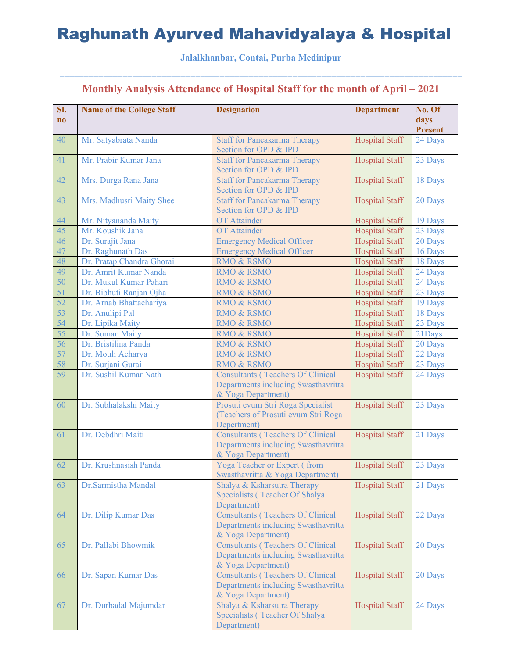#### **Jalalkhanbar, Contai, Purba Medinipur**

| SI.<br>$\mathbf{n}\mathbf{o}$ | <b>Name of the College Staff</b> | <b>Designation</b>                                                                                    | <b>Department</b>     | No. Of<br>days<br><b>Present</b> |
|-------------------------------|----------------------------------|-------------------------------------------------------------------------------------------------------|-----------------------|----------------------------------|
| 40                            | Mr. Satyabrata Nanda             | <b>Staff for Pancakarma Therapy</b><br>Section for OPD & IPD                                          | Hospital Staff        | 24 Days                          |
| 41                            | Mr. Prabir Kumar Jana            | <b>Staff for Pancakarma Therapy</b><br>Section for OPD & IPD                                          | <b>Hospital Staff</b> | 23 Days                          |
| 42                            | Mrs. Durga Rana Jana             | <b>Staff for Pancakarma Therapy</b><br>Section for OPD & IPD                                          | <b>Hospital Staff</b> | 18 Days                          |
| 43                            | Mrs. Madhusri Maity Shee         | <b>Staff for Pancakarma Therapy</b><br>Section for OPD & IPD                                          | <b>Hospital Staff</b> | 20 Days                          |
| 44                            | Mr. Nityananda Maity             | <b>OT</b> Attainder                                                                                   | <b>Hospital Staff</b> | 19 Days                          |
| 45                            | Mr. Koushik Jana                 | <b>OT</b> Attainder                                                                                   | Hospital Staff        | 23 Days                          |
| 46                            | Dr. Surajit Jana                 | <b>Emergency Medical Officer</b>                                                                      | <b>Hospital Staff</b> | 20 Days                          |
| 47                            | Dr. Raghunath Das                | <b>Emergency Medical Officer</b>                                                                      | <b>Hospital Staff</b> | 16 Days                          |
| 48                            | Dr. Pratap Chandra Ghorai        | RMO & RSMO                                                                                            | <b>Hospital Staff</b> | 18 Days                          |
| 49                            | Dr. Amrit Kumar Nanda            | <b>RMO &amp; RSMO</b>                                                                                 | <b>Hospital Staff</b> | 24 Days                          |
| 50                            | Dr. Mukul Kumar Pahari           | RMO & RSMO                                                                                            | <b>Hospital Staff</b> | 24 Days                          |
| 51                            | Dr. Bibhuti Ranjan Ojha          | <b>RMO &amp; RSMO</b>                                                                                 | <b>Hospital Staff</b> | 23 Days                          |
| 52                            | Dr. Arnab Bhattachariya          | RMO & RSMO                                                                                            | <b>Hospital Staff</b> | 19 Days                          |
| 53                            | Dr. Anulipi Pal                  | RMO & RSMO                                                                                            | <b>Hospital Staff</b> | 18 Days                          |
| 54                            | Dr. Lipika Maity                 | <b>RMO &amp; RSMO</b>                                                                                 | <b>Hospital Staff</b> | 23 Days                          |
| 55                            | Dr. Suman Maity                  | RMO & RSMO                                                                                            | <b>Hospital Staff</b> | 21Days                           |
| 56                            | Dr. Bristilina Panda             | RMO & RSMO                                                                                            | <b>Hospital Staff</b> | 20 Days                          |
| 57                            | Dr. Mouli Acharya                | <b>RMO &amp; RSMO</b>                                                                                 | <b>Hospital Staff</b> | 22 Days                          |
| 58                            | Dr. Surjani Gurai                | <b>RMO &amp; RSMO</b>                                                                                 | <b>Hospital Staff</b> | 23 Days                          |
| 59                            | Dr. Sushil Kumar Nath            | <b>Consultants (Teachers Of Clinical</b><br>Departments including Swasthavritta<br>& Yoga Department) | <b>Hospital Staff</b> | 24 Days                          |
| 60                            | Dr. Subhalakshi Maity            | Prosuti evum Stri Roga Specialist<br>(Teachers of Prosuti evum Stri Roga<br>Depertment)               | <b>Hospital Staff</b> | 23 Days                          |
| 61                            | Dr. Debdhri Maiti                | <b>Consultants (Teachers Of Clinical</b><br>Departments including Swasthavritta<br>& Yoga Department) | <b>Hospital Staff</b> | 21 Days                          |
| 62                            | Dr. Krushnasish Panda            | Yoga Teacher or Expert (from<br>Swasthavritta & Yoga Department)                                      | <b>Hospital Staff</b> | 23 Days                          |
| 63                            | Dr.Sarmistha Mandal              | Shalya & Ksharsutra Therapy<br>Specialists (Teacher Of Shalya<br>Department)                          | Hospital Staff        | 21 Days                          |
| 64                            | Dr. Dilip Kumar Das              | <b>Consultants (Teachers Of Clinical</b><br>Departments including Swasthavritta<br>& Yoga Department) | <b>Hospital Staff</b> | 22 Days                          |
| 65                            | Dr. Pallabi Bhowmik              | <b>Consultants (Teachers Of Clinical</b><br>Departments including Swasthavritta<br>& Yoga Department) | <b>Hospital Staff</b> | 20 Days                          |
| 66                            | Dr. Sapan Kumar Das              | <b>Consultants (Teachers Of Clinical</b><br>Departments including Swasthavritta<br>& Yoga Department) | <b>Hospital Staff</b> | 20 Days                          |
| 67                            | Dr. Durbadal Majumdar            | Shalya & Ksharsutra Therapy<br>Specialists (Teacher Of Shalya<br>Department)                          | <b>Hospital Staff</b> | 24 Days                          |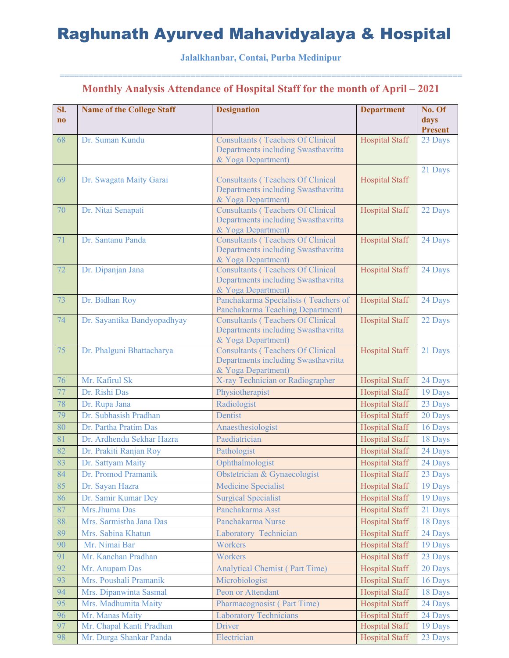#### **Jalalkhanbar, Contai, Purba Medinipur**

| <b>Hospital Staff</b><br>Dr. Suman Kundu<br><b>Consultants (Teachers Of Clinical</b><br>23 Days<br>68<br>Departments including Swasthavritta<br>& Yoga Department)<br>21 Days<br>69<br><b>Consultants (Teachers Of Clinical</b><br><b>Hospital Staff</b><br>Dr. Swagata Maity Garai<br>Departments including Swasthavritta<br>& Yoga Department)<br><b>Hospital Staff</b><br>Dr. Nitai Senapati<br><b>Consultants (Teachers Of Clinical</b><br>70<br>22 Days<br>Departments including Swasthavritta<br>& Yoga Department)<br>71<br><b>Hospital Staff</b><br>Dr. Santanu Panda<br><b>Consultants (Teachers Of Clinical</b><br>24 Days<br>Departments including Swasthavritta<br>& Yoga Department)<br>72<br><b>Hospital Staff</b><br>Dr. Dipanjan Jana<br><b>Consultants (Teachers Of Clinical</b><br>24 Days<br>Departments including Swasthavritta<br>& Yoga Department)<br>73<br>Dr. Bidhan Roy<br><b>Hospital Staff</b><br>Panchakarma Specialists (Teachers of<br>24 Days<br>Panchakarma Teaching Department)<br>74<br><b>Consultants (Teachers Of Clinical</b><br>Dr. Sayantika Bandyopadhyay<br><b>Hospital Staff</b><br>22 Days<br>Departments including Swasthavritta<br>& Yoga Department)<br>75<br>Dr. Phalguni Bhattacharya<br><b>Consultants (Teachers Of Clinical</b><br><b>Hospital Staff</b><br>21 Days<br>Departments including Swasthavritta<br>& Yoga Department)<br>Mr. Kafirul Sk<br>X-ray Technician or Radiographer<br><b>Hospital Staff</b><br>76<br>24 Days<br>77<br>Dr. Rishi Das<br>Physiotherapist<br><b>Hospital Staff</b><br>19 Days<br>78<br>23 Days<br>Dr. Rupa Jana<br>Radiologist<br><b>Hospital Staff</b><br>Dr. Subhasish Pradhan<br>79<br>Dentist<br><b>Hospital Staff</b><br>20 Days<br>Dr. Partha Pratim Das<br>Anaesthesiologist<br><b>Hospital Staff</b><br>80<br>16 Days<br>81<br>Dr. Ardhendu Sekhar Hazra<br>Paediatrician<br><b>Hospital Staff</b><br>18 Days<br>82<br>Dr. Prakiti Ranjan Roy<br>Pathologist<br><b>Hospital Staff</b><br>24 Days<br>83<br>Dr. Sattyam Maity<br><b>Hospital Staff</b><br>Ophthalmologist<br>24 Days<br>84<br>Obstetrician & Gynaecologist<br>23 Days<br>Dr. Promod Pramanik<br>Hospital Staff<br>85<br><b>Medicine Specialist</b><br>Dr. Sayan Hazra<br><b>Hospital Staff</b><br>19 Days<br>86<br>Dr. Samir Kumar Dey<br><b>Surgical Specialist</b><br><b>Hospital Staff</b><br>19 Days<br>87<br>Mrs.Jhuma Das<br>Panchakarma Asst<br>Hospital Staff<br>21 Days<br>Mrs. Sarmistha Jana Das<br>Panchakarma Nurse<br>88<br><b>Hospital Staff</b><br>18 Days<br>89<br>Mrs. Sabina Khatun<br><b>Hospital Staff</b><br>Laboratory Technician<br>24 Days<br>Mr. Nimai Bar<br>90<br>Workers<br>Hospital Staff<br>19 Days<br>Mr. Kanchan Pradhan<br>91<br>Workers<br><b>Hospital Staff</b><br>23 Days<br>92<br>Mr. Anupam Das<br><b>Analytical Chemist (Part Time)</b><br><b>Hospital Staff</b><br>20 Days<br>93<br>Mrs. Poushali Pramanik<br>Microbiologist<br><b>Hospital Staff</b><br>16 Days<br>94<br>Peon or Attendant<br>Mrs. Dipanwinta Sasmal<br><b>Hospital Staff</b><br>18 Days<br>95<br>Mrs. Madhumita Maity<br>Pharmacognosist (Part Time)<br><b>Hospital Staff</b><br>24 Days<br>96<br>Mr. Manas Maity<br><b>Laboratory Technicians</b><br>24 Days<br><b>Hospital Staff</b><br>97<br>Mr. Chapal Kanti Pradhan<br>Driver<br>19 Days<br><b>Hospital Staff</b> | SI.<br>$\bf{no}$ | <b>Name of the College Staff</b> | <b>Designation</b> | <b>Department</b> | No. Of<br>days<br>Present |
|---------------------------------------------------------------------------------------------------------------------------------------------------------------------------------------------------------------------------------------------------------------------------------------------------------------------------------------------------------------------------------------------------------------------------------------------------------------------------------------------------------------------------------------------------------------------------------------------------------------------------------------------------------------------------------------------------------------------------------------------------------------------------------------------------------------------------------------------------------------------------------------------------------------------------------------------------------------------------------------------------------------------------------------------------------------------------------------------------------------------------------------------------------------------------------------------------------------------------------------------------------------------------------------------------------------------------------------------------------------------------------------------------------------------------------------------------------------------------------------------------------------------------------------------------------------------------------------------------------------------------------------------------------------------------------------------------------------------------------------------------------------------------------------------------------------------------------------------------------------------------------------------------------------------------------------------------------------------------------------------------------------------------------------------------------------------------------------------------------------------------------------------------------------------------------------------------------------------------------------------------------------------------------------------------------------------------------------------------------------------------------------------------------------------------------------------------------------------------------------------------------------------------------------------------------------------------------------------------------------------------------------------------------------------------------------------------------------------------------------------------------------------------------------------------------------------------------------------------------------------------------------------------------------------------------------------------------------------------------------------------------------------------------------------------------------------------------------------------------------------------------------------------------------------------------------------------------------------------------------------------------------------------------------------------------------------------------------------|------------------|----------------------------------|--------------------|-------------------|---------------------------|
|                                                                                                                                                                                                                                                                                                                                                                                                                                                                                                                                                                                                                                                                                                                                                                                                                                                                                                                                                                                                                                                                                                                                                                                                                                                                                                                                                                                                                                                                                                                                                                                                                                                                                                                                                                                                                                                                                                                                                                                                                                                                                                                                                                                                                                                                                                                                                                                                                                                                                                                                                                                                                                                                                                                                                                                                                                                                                                                                                                                                                                                                                                                                                                                                                                                                                                                                             |                  |                                  |                    |                   |                           |
|                                                                                                                                                                                                                                                                                                                                                                                                                                                                                                                                                                                                                                                                                                                                                                                                                                                                                                                                                                                                                                                                                                                                                                                                                                                                                                                                                                                                                                                                                                                                                                                                                                                                                                                                                                                                                                                                                                                                                                                                                                                                                                                                                                                                                                                                                                                                                                                                                                                                                                                                                                                                                                                                                                                                                                                                                                                                                                                                                                                                                                                                                                                                                                                                                                                                                                                                             |                  |                                  |                    |                   |                           |
|                                                                                                                                                                                                                                                                                                                                                                                                                                                                                                                                                                                                                                                                                                                                                                                                                                                                                                                                                                                                                                                                                                                                                                                                                                                                                                                                                                                                                                                                                                                                                                                                                                                                                                                                                                                                                                                                                                                                                                                                                                                                                                                                                                                                                                                                                                                                                                                                                                                                                                                                                                                                                                                                                                                                                                                                                                                                                                                                                                                                                                                                                                                                                                                                                                                                                                                                             |                  |                                  |                    |                   |                           |
|                                                                                                                                                                                                                                                                                                                                                                                                                                                                                                                                                                                                                                                                                                                                                                                                                                                                                                                                                                                                                                                                                                                                                                                                                                                                                                                                                                                                                                                                                                                                                                                                                                                                                                                                                                                                                                                                                                                                                                                                                                                                                                                                                                                                                                                                                                                                                                                                                                                                                                                                                                                                                                                                                                                                                                                                                                                                                                                                                                                                                                                                                                                                                                                                                                                                                                                                             |                  |                                  |                    |                   |                           |
|                                                                                                                                                                                                                                                                                                                                                                                                                                                                                                                                                                                                                                                                                                                                                                                                                                                                                                                                                                                                                                                                                                                                                                                                                                                                                                                                                                                                                                                                                                                                                                                                                                                                                                                                                                                                                                                                                                                                                                                                                                                                                                                                                                                                                                                                                                                                                                                                                                                                                                                                                                                                                                                                                                                                                                                                                                                                                                                                                                                                                                                                                                                                                                                                                                                                                                                                             |                  |                                  |                    |                   |                           |
|                                                                                                                                                                                                                                                                                                                                                                                                                                                                                                                                                                                                                                                                                                                                                                                                                                                                                                                                                                                                                                                                                                                                                                                                                                                                                                                                                                                                                                                                                                                                                                                                                                                                                                                                                                                                                                                                                                                                                                                                                                                                                                                                                                                                                                                                                                                                                                                                                                                                                                                                                                                                                                                                                                                                                                                                                                                                                                                                                                                                                                                                                                                                                                                                                                                                                                                                             |                  |                                  |                    |                   |                           |
|                                                                                                                                                                                                                                                                                                                                                                                                                                                                                                                                                                                                                                                                                                                                                                                                                                                                                                                                                                                                                                                                                                                                                                                                                                                                                                                                                                                                                                                                                                                                                                                                                                                                                                                                                                                                                                                                                                                                                                                                                                                                                                                                                                                                                                                                                                                                                                                                                                                                                                                                                                                                                                                                                                                                                                                                                                                                                                                                                                                                                                                                                                                                                                                                                                                                                                                                             |                  |                                  |                    |                   |                           |
|                                                                                                                                                                                                                                                                                                                                                                                                                                                                                                                                                                                                                                                                                                                                                                                                                                                                                                                                                                                                                                                                                                                                                                                                                                                                                                                                                                                                                                                                                                                                                                                                                                                                                                                                                                                                                                                                                                                                                                                                                                                                                                                                                                                                                                                                                                                                                                                                                                                                                                                                                                                                                                                                                                                                                                                                                                                                                                                                                                                                                                                                                                                                                                                                                                                                                                                                             |                  |                                  |                    |                   |                           |
|                                                                                                                                                                                                                                                                                                                                                                                                                                                                                                                                                                                                                                                                                                                                                                                                                                                                                                                                                                                                                                                                                                                                                                                                                                                                                                                                                                                                                                                                                                                                                                                                                                                                                                                                                                                                                                                                                                                                                                                                                                                                                                                                                                                                                                                                                                                                                                                                                                                                                                                                                                                                                                                                                                                                                                                                                                                                                                                                                                                                                                                                                                                                                                                                                                                                                                                                             |                  |                                  |                    |                   |                           |
|                                                                                                                                                                                                                                                                                                                                                                                                                                                                                                                                                                                                                                                                                                                                                                                                                                                                                                                                                                                                                                                                                                                                                                                                                                                                                                                                                                                                                                                                                                                                                                                                                                                                                                                                                                                                                                                                                                                                                                                                                                                                                                                                                                                                                                                                                                                                                                                                                                                                                                                                                                                                                                                                                                                                                                                                                                                                                                                                                                                                                                                                                                                                                                                                                                                                                                                                             |                  |                                  |                    |                   |                           |
|                                                                                                                                                                                                                                                                                                                                                                                                                                                                                                                                                                                                                                                                                                                                                                                                                                                                                                                                                                                                                                                                                                                                                                                                                                                                                                                                                                                                                                                                                                                                                                                                                                                                                                                                                                                                                                                                                                                                                                                                                                                                                                                                                                                                                                                                                                                                                                                                                                                                                                                                                                                                                                                                                                                                                                                                                                                                                                                                                                                                                                                                                                                                                                                                                                                                                                                                             |                  |                                  |                    |                   |                           |
|                                                                                                                                                                                                                                                                                                                                                                                                                                                                                                                                                                                                                                                                                                                                                                                                                                                                                                                                                                                                                                                                                                                                                                                                                                                                                                                                                                                                                                                                                                                                                                                                                                                                                                                                                                                                                                                                                                                                                                                                                                                                                                                                                                                                                                                                                                                                                                                                                                                                                                                                                                                                                                                                                                                                                                                                                                                                                                                                                                                                                                                                                                                                                                                                                                                                                                                                             |                  |                                  |                    |                   |                           |
|                                                                                                                                                                                                                                                                                                                                                                                                                                                                                                                                                                                                                                                                                                                                                                                                                                                                                                                                                                                                                                                                                                                                                                                                                                                                                                                                                                                                                                                                                                                                                                                                                                                                                                                                                                                                                                                                                                                                                                                                                                                                                                                                                                                                                                                                                                                                                                                                                                                                                                                                                                                                                                                                                                                                                                                                                                                                                                                                                                                                                                                                                                                                                                                                                                                                                                                                             |                  |                                  |                    |                   |                           |
|                                                                                                                                                                                                                                                                                                                                                                                                                                                                                                                                                                                                                                                                                                                                                                                                                                                                                                                                                                                                                                                                                                                                                                                                                                                                                                                                                                                                                                                                                                                                                                                                                                                                                                                                                                                                                                                                                                                                                                                                                                                                                                                                                                                                                                                                                                                                                                                                                                                                                                                                                                                                                                                                                                                                                                                                                                                                                                                                                                                                                                                                                                                                                                                                                                                                                                                                             |                  |                                  |                    |                   |                           |
|                                                                                                                                                                                                                                                                                                                                                                                                                                                                                                                                                                                                                                                                                                                                                                                                                                                                                                                                                                                                                                                                                                                                                                                                                                                                                                                                                                                                                                                                                                                                                                                                                                                                                                                                                                                                                                                                                                                                                                                                                                                                                                                                                                                                                                                                                                                                                                                                                                                                                                                                                                                                                                                                                                                                                                                                                                                                                                                                                                                                                                                                                                                                                                                                                                                                                                                                             |                  |                                  |                    |                   |                           |
|                                                                                                                                                                                                                                                                                                                                                                                                                                                                                                                                                                                                                                                                                                                                                                                                                                                                                                                                                                                                                                                                                                                                                                                                                                                                                                                                                                                                                                                                                                                                                                                                                                                                                                                                                                                                                                                                                                                                                                                                                                                                                                                                                                                                                                                                                                                                                                                                                                                                                                                                                                                                                                                                                                                                                                                                                                                                                                                                                                                                                                                                                                                                                                                                                                                                                                                                             |                  |                                  |                    |                   |                           |
|                                                                                                                                                                                                                                                                                                                                                                                                                                                                                                                                                                                                                                                                                                                                                                                                                                                                                                                                                                                                                                                                                                                                                                                                                                                                                                                                                                                                                                                                                                                                                                                                                                                                                                                                                                                                                                                                                                                                                                                                                                                                                                                                                                                                                                                                                                                                                                                                                                                                                                                                                                                                                                                                                                                                                                                                                                                                                                                                                                                                                                                                                                                                                                                                                                                                                                                                             |                  |                                  |                    |                   |                           |
|                                                                                                                                                                                                                                                                                                                                                                                                                                                                                                                                                                                                                                                                                                                                                                                                                                                                                                                                                                                                                                                                                                                                                                                                                                                                                                                                                                                                                                                                                                                                                                                                                                                                                                                                                                                                                                                                                                                                                                                                                                                                                                                                                                                                                                                                                                                                                                                                                                                                                                                                                                                                                                                                                                                                                                                                                                                                                                                                                                                                                                                                                                                                                                                                                                                                                                                                             |                  |                                  |                    |                   |                           |
|                                                                                                                                                                                                                                                                                                                                                                                                                                                                                                                                                                                                                                                                                                                                                                                                                                                                                                                                                                                                                                                                                                                                                                                                                                                                                                                                                                                                                                                                                                                                                                                                                                                                                                                                                                                                                                                                                                                                                                                                                                                                                                                                                                                                                                                                                                                                                                                                                                                                                                                                                                                                                                                                                                                                                                                                                                                                                                                                                                                                                                                                                                                                                                                                                                                                                                                                             |                  |                                  |                    |                   |                           |
|                                                                                                                                                                                                                                                                                                                                                                                                                                                                                                                                                                                                                                                                                                                                                                                                                                                                                                                                                                                                                                                                                                                                                                                                                                                                                                                                                                                                                                                                                                                                                                                                                                                                                                                                                                                                                                                                                                                                                                                                                                                                                                                                                                                                                                                                                                                                                                                                                                                                                                                                                                                                                                                                                                                                                                                                                                                                                                                                                                                                                                                                                                                                                                                                                                                                                                                                             |                  |                                  |                    |                   |                           |
|                                                                                                                                                                                                                                                                                                                                                                                                                                                                                                                                                                                                                                                                                                                                                                                                                                                                                                                                                                                                                                                                                                                                                                                                                                                                                                                                                                                                                                                                                                                                                                                                                                                                                                                                                                                                                                                                                                                                                                                                                                                                                                                                                                                                                                                                                                                                                                                                                                                                                                                                                                                                                                                                                                                                                                                                                                                                                                                                                                                                                                                                                                                                                                                                                                                                                                                                             |                  |                                  |                    |                   |                           |
|                                                                                                                                                                                                                                                                                                                                                                                                                                                                                                                                                                                                                                                                                                                                                                                                                                                                                                                                                                                                                                                                                                                                                                                                                                                                                                                                                                                                                                                                                                                                                                                                                                                                                                                                                                                                                                                                                                                                                                                                                                                                                                                                                                                                                                                                                                                                                                                                                                                                                                                                                                                                                                                                                                                                                                                                                                                                                                                                                                                                                                                                                                                                                                                                                                                                                                                                             |                  |                                  |                    |                   |                           |
|                                                                                                                                                                                                                                                                                                                                                                                                                                                                                                                                                                                                                                                                                                                                                                                                                                                                                                                                                                                                                                                                                                                                                                                                                                                                                                                                                                                                                                                                                                                                                                                                                                                                                                                                                                                                                                                                                                                                                                                                                                                                                                                                                                                                                                                                                                                                                                                                                                                                                                                                                                                                                                                                                                                                                                                                                                                                                                                                                                                                                                                                                                                                                                                                                                                                                                                                             |                  |                                  |                    |                   |                           |
|                                                                                                                                                                                                                                                                                                                                                                                                                                                                                                                                                                                                                                                                                                                                                                                                                                                                                                                                                                                                                                                                                                                                                                                                                                                                                                                                                                                                                                                                                                                                                                                                                                                                                                                                                                                                                                                                                                                                                                                                                                                                                                                                                                                                                                                                                                                                                                                                                                                                                                                                                                                                                                                                                                                                                                                                                                                                                                                                                                                                                                                                                                                                                                                                                                                                                                                                             |                  |                                  |                    |                   |                           |
|                                                                                                                                                                                                                                                                                                                                                                                                                                                                                                                                                                                                                                                                                                                                                                                                                                                                                                                                                                                                                                                                                                                                                                                                                                                                                                                                                                                                                                                                                                                                                                                                                                                                                                                                                                                                                                                                                                                                                                                                                                                                                                                                                                                                                                                                                                                                                                                                                                                                                                                                                                                                                                                                                                                                                                                                                                                                                                                                                                                                                                                                                                                                                                                                                                                                                                                                             |                  |                                  |                    |                   |                           |
|                                                                                                                                                                                                                                                                                                                                                                                                                                                                                                                                                                                                                                                                                                                                                                                                                                                                                                                                                                                                                                                                                                                                                                                                                                                                                                                                                                                                                                                                                                                                                                                                                                                                                                                                                                                                                                                                                                                                                                                                                                                                                                                                                                                                                                                                                                                                                                                                                                                                                                                                                                                                                                                                                                                                                                                                                                                                                                                                                                                                                                                                                                                                                                                                                                                                                                                                             |                  |                                  |                    |                   |                           |
|                                                                                                                                                                                                                                                                                                                                                                                                                                                                                                                                                                                                                                                                                                                                                                                                                                                                                                                                                                                                                                                                                                                                                                                                                                                                                                                                                                                                                                                                                                                                                                                                                                                                                                                                                                                                                                                                                                                                                                                                                                                                                                                                                                                                                                                                                                                                                                                                                                                                                                                                                                                                                                                                                                                                                                                                                                                                                                                                                                                                                                                                                                                                                                                                                                                                                                                                             |                  |                                  |                    |                   |                           |
|                                                                                                                                                                                                                                                                                                                                                                                                                                                                                                                                                                                                                                                                                                                                                                                                                                                                                                                                                                                                                                                                                                                                                                                                                                                                                                                                                                                                                                                                                                                                                                                                                                                                                                                                                                                                                                                                                                                                                                                                                                                                                                                                                                                                                                                                                                                                                                                                                                                                                                                                                                                                                                                                                                                                                                                                                                                                                                                                                                                                                                                                                                                                                                                                                                                                                                                                             |                  |                                  |                    |                   |                           |
|                                                                                                                                                                                                                                                                                                                                                                                                                                                                                                                                                                                                                                                                                                                                                                                                                                                                                                                                                                                                                                                                                                                                                                                                                                                                                                                                                                                                                                                                                                                                                                                                                                                                                                                                                                                                                                                                                                                                                                                                                                                                                                                                                                                                                                                                                                                                                                                                                                                                                                                                                                                                                                                                                                                                                                                                                                                                                                                                                                                                                                                                                                                                                                                                                                                                                                                                             |                  |                                  |                    |                   |                           |
|                                                                                                                                                                                                                                                                                                                                                                                                                                                                                                                                                                                                                                                                                                                                                                                                                                                                                                                                                                                                                                                                                                                                                                                                                                                                                                                                                                                                                                                                                                                                                                                                                                                                                                                                                                                                                                                                                                                                                                                                                                                                                                                                                                                                                                                                                                                                                                                                                                                                                                                                                                                                                                                                                                                                                                                                                                                                                                                                                                                                                                                                                                                                                                                                                                                                                                                                             | 98               | Mr. Durga Shankar Panda          | Electrician        | Hospital Staff    | 23 Days                   |